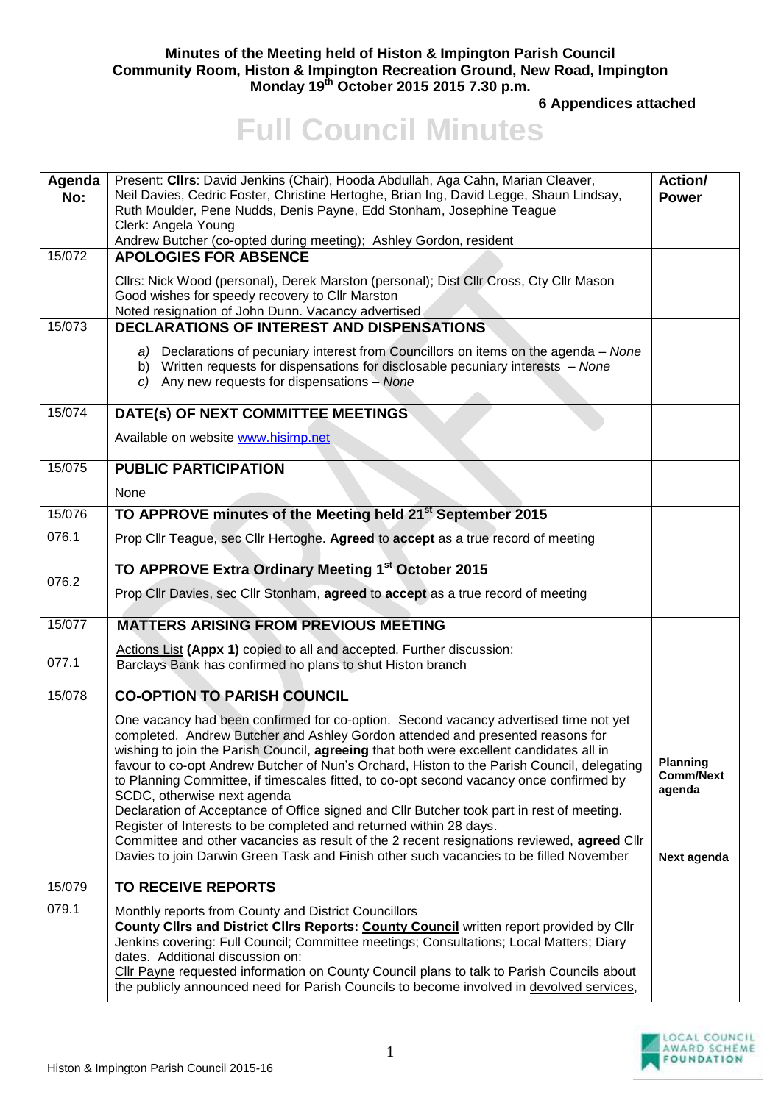## **Minutes of the Meeting held of Histon & Impington Parish Council Community Room, Histon & Impington Recreation Ground, New Road, Impington Monday 19th October 2015 2015 7.30 p.m.**

**6 Appendices attached** 

## **Full Council Minutes**

| Agenda<br>No: | Present: Clirs: David Jenkins (Chair), Hooda Abdullah, Aga Cahn, Marian Cleaver,<br>Neil Davies, Cedric Foster, Christine Hertoghe, Brian Ing, David Legge, Shaun Lindsay,<br>Ruth Moulder, Pene Nudds, Denis Payne, Edd Stonham, Josephine Teague<br>Clerk: Angela Young<br>Andrew Butcher (co-opted during meeting); Ashley Gordon, resident                                                                                                                                                                                                                                                                                                                                                                                                                                                                                                       | Action/<br><b>Power</b>                                      |
|---------------|------------------------------------------------------------------------------------------------------------------------------------------------------------------------------------------------------------------------------------------------------------------------------------------------------------------------------------------------------------------------------------------------------------------------------------------------------------------------------------------------------------------------------------------------------------------------------------------------------------------------------------------------------------------------------------------------------------------------------------------------------------------------------------------------------------------------------------------------------|--------------------------------------------------------------|
| 15/072        | <b>APOLOGIES FOR ABSENCE</b>                                                                                                                                                                                                                                                                                                                                                                                                                                                                                                                                                                                                                                                                                                                                                                                                                         |                                                              |
|               | Cllrs: Nick Wood (personal), Derek Marston (personal); Dist Cllr Cross, Cty Cllr Mason<br>Good wishes for speedy recovery to Cllr Marston<br>Noted resignation of John Dunn. Vacancy advertised                                                                                                                                                                                                                                                                                                                                                                                                                                                                                                                                                                                                                                                      |                                                              |
| 15/073        | <b>DECLARATIONS OF INTEREST AND DISPENSATIONS</b>                                                                                                                                                                                                                                                                                                                                                                                                                                                                                                                                                                                                                                                                                                                                                                                                    |                                                              |
|               | a) Declarations of pecuniary interest from Councillors on items on the agenda - None<br>b) Written requests for dispensations for disclosable pecuniary interests - None<br>c) Any new requests for dispensations $-$ None                                                                                                                                                                                                                                                                                                                                                                                                                                                                                                                                                                                                                           |                                                              |
| 15/074        | DATE(s) OF NEXT COMMITTEE MEETINGS                                                                                                                                                                                                                                                                                                                                                                                                                                                                                                                                                                                                                                                                                                                                                                                                                   |                                                              |
|               | Available on website www.hisimp.net                                                                                                                                                                                                                                                                                                                                                                                                                                                                                                                                                                                                                                                                                                                                                                                                                  |                                                              |
| 15/075        | <b>PUBLIC PARTICIPATION</b>                                                                                                                                                                                                                                                                                                                                                                                                                                                                                                                                                                                                                                                                                                                                                                                                                          |                                                              |
|               | None                                                                                                                                                                                                                                                                                                                                                                                                                                                                                                                                                                                                                                                                                                                                                                                                                                                 |                                                              |
| 15/076        | TO APPROVE minutes of the Meeting held 21 <sup>st</sup> September 2015                                                                                                                                                                                                                                                                                                                                                                                                                                                                                                                                                                                                                                                                                                                                                                               |                                                              |
| 076.1         | Prop Cllr Teague, sec Cllr Hertoghe. Agreed to accept as a true record of meeting                                                                                                                                                                                                                                                                                                                                                                                                                                                                                                                                                                                                                                                                                                                                                                    |                                                              |
|               | TO APPROVE Extra Ordinary Meeting 1st October 2015                                                                                                                                                                                                                                                                                                                                                                                                                                                                                                                                                                                                                                                                                                                                                                                                   |                                                              |
| 076.2         | Prop Cllr Davies, sec Cllr Stonham, agreed to accept as a true record of meeting                                                                                                                                                                                                                                                                                                                                                                                                                                                                                                                                                                                                                                                                                                                                                                     |                                                              |
| 15/077        | <b>MATTERS ARISING FROM PREVIOUS MEETING</b>                                                                                                                                                                                                                                                                                                                                                                                                                                                                                                                                                                                                                                                                                                                                                                                                         |                                                              |
| 077.1         | Actions List (Appx 1) copied to all and accepted. Further discussion:<br><b>Barclays Bank has confirmed no plans to shut Histon branch</b>                                                                                                                                                                                                                                                                                                                                                                                                                                                                                                                                                                                                                                                                                                           |                                                              |
| 15/078        | <b>CO-OPTION TO PARISH COUNCIL</b>                                                                                                                                                                                                                                                                                                                                                                                                                                                                                                                                                                                                                                                                                                                                                                                                                   |                                                              |
|               | One vacancy had been confirmed for co-option. Second vacancy advertised time not yet<br>completed. Andrew Butcher and Ashley Gordon attended and presented reasons for<br>wishing to join the Parish Council, agreeing that both were excellent candidates all in<br>favour to co-opt Andrew Butcher of Nun's Orchard, Histon to the Parish Council, delegating<br>to Planning Committee, if timescales fitted, to co-opt second vacancy once confirmed by<br>SCDC, otherwise next agenda<br>Declaration of Acceptance of Office signed and Cllr Butcher took part in rest of meeting.<br>Register of Interests to be completed and returned within 28 days.<br>Committee and other vacancies as result of the 2 recent resignations reviewed, agreed Cllr<br>Davies to join Darwin Green Task and Finish other such vacancies to be filled November | <b>Planning</b><br><b>Comm/Next</b><br>agenda<br>Next agenda |
| 15/079        | <b>TO RECEIVE REPORTS</b>                                                                                                                                                                                                                                                                                                                                                                                                                                                                                                                                                                                                                                                                                                                                                                                                                            |                                                              |
| 079.1         | Monthly reports from County and District Councillors<br>County Clirs and District Clirs Reports: County Council written report provided by Clir<br>Jenkins covering: Full Council; Committee meetings; Consultations; Local Matters; Diary<br>dates. Additional discussion on:<br>Cllr Payne requested information on County Council plans to talk to Parish Councils about<br>the publicly announced need for Parish Councils to become involved in devolved services,                                                                                                                                                                                                                                                                                                                                                                              |                                                              |

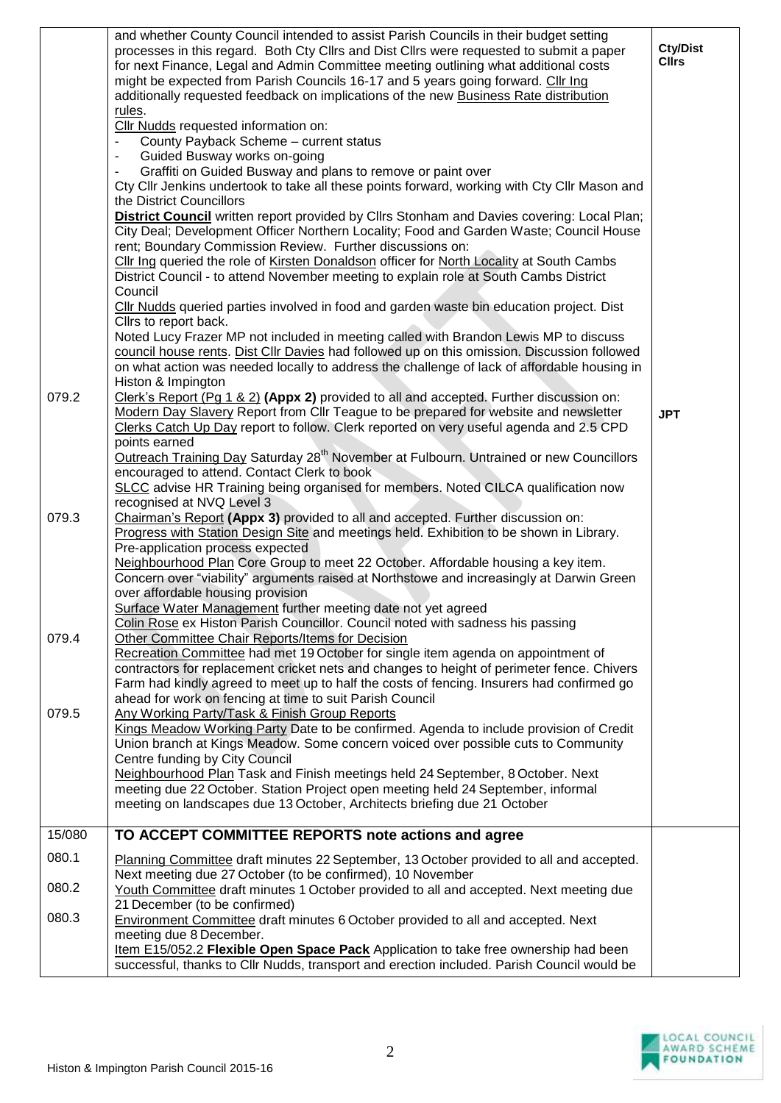|        | and whether County Council intended to assist Parish Councils in their budget setting<br>processes in this regard. Both Cty Cllrs and Dist Cllrs were requested to submit a paper<br>for next Finance, Legal and Admin Committee meeting outlining what additional costs<br>might be expected from Parish Councils 16-17 and 5 years going forward. Cllr Ing<br>additionally requested feedback on implications of the new <b>Business Rate distribution</b> | <b>Cty/Dist</b><br><b>Cllrs</b> |
|--------|--------------------------------------------------------------------------------------------------------------------------------------------------------------------------------------------------------------------------------------------------------------------------------------------------------------------------------------------------------------------------------------------------------------------------------------------------------------|---------------------------------|
|        | rules.<br>Cllr Nudds requested information on:                                                                                                                                                                                                                                                                                                                                                                                                               |                                 |
|        | County Payback Scheme - current status                                                                                                                                                                                                                                                                                                                                                                                                                       |                                 |
|        | Guided Busway works on-going<br>$\blacksquare$                                                                                                                                                                                                                                                                                                                                                                                                               |                                 |
|        | Graffiti on Guided Busway and plans to remove or paint over<br>$\overline{\phantom{a}}$<br>Cty Cllr Jenkins undertook to take all these points forward, working with Cty Cllr Mason and                                                                                                                                                                                                                                                                      |                                 |
|        | the District Councillors                                                                                                                                                                                                                                                                                                                                                                                                                                     |                                 |
|        | District Council written report provided by Cllrs Stonham and Davies covering: Local Plan;                                                                                                                                                                                                                                                                                                                                                                   |                                 |
|        | City Deal; Development Officer Northern Locality; Food and Garden Waste; Council House                                                                                                                                                                                                                                                                                                                                                                       |                                 |
|        | rent; Boundary Commission Review. Further discussions on:<br>Cllr Ing queried the role of Kirsten Donaldson officer for North Locality at South Cambs                                                                                                                                                                                                                                                                                                        |                                 |
|        | District Council - to attend November meeting to explain role at South Cambs District                                                                                                                                                                                                                                                                                                                                                                        |                                 |
|        | Council                                                                                                                                                                                                                                                                                                                                                                                                                                                      |                                 |
|        | Cllr Nudds queried parties involved in food and garden waste bin education project. Dist                                                                                                                                                                                                                                                                                                                                                                     |                                 |
|        | Cllrs to report back.                                                                                                                                                                                                                                                                                                                                                                                                                                        |                                 |
|        | Noted Lucy Frazer MP not included in meeting called with Brandon Lewis MP to discuss<br>council house rents. Dist Cllr Davies had followed up on this omission. Discussion followed                                                                                                                                                                                                                                                                          |                                 |
|        | on what action was needed locally to address the challenge of lack of affordable housing in                                                                                                                                                                                                                                                                                                                                                                  |                                 |
|        | Histon & Impington                                                                                                                                                                                                                                                                                                                                                                                                                                           |                                 |
| 079.2  | Clerk's Report (Pg 1 & 2) (Appx 2) provided to all and accepted. Further discussion on:                                                                                                                                                                                                                                                                                                                                                                      |                                 |
|        | Modern Day Slavery Report from Cllr Teague to be prepared for website and newsletter<br>Clerks Catch Up Day report to follow. Clerk reported on very useful agenda and 2.5 CPD                                                                                                                                                                                                                                                                               | <b>JPT</b>                      |
|        | points earned                                                                                                                                                                                                                                                                                                                                                                                                                                                |                                 |
|        | Outreach Training Day Saturday 28 <sup>th</sup> November at Fulbourn. Untrained or new Councillors                                                                                                                                                                                                                                                                                                                                                           |                                 |
|        | encouraged to attend. Contact Clerk to book                                                                                                                                                                                                                                                                                                                                                                                                                  |                                 |
|        | SLCC advise HR Training being organised for members. Noted CILCA qualification now<br>recognised at NVQ Level 3                                                                                                                                                                                                                                                                                                                                              |                                 |
| 079.3  | Chairman's Report (Appx 3) provided to all and accepted. Further discussion on:                                                                                                                                                                                                                                                                                                                                                                              |                                 |
|        | Progress with Station Design Site and meetings held. Exhibition to be shown in Library.                                                                                                                                                                                                                                                                                                                                                                      |                                 |
|        | Pre-application process expected                                                                                                                                                                                                                                                                                                                                                                                                                             |                                 |
|        | Neighbourhood Plan Core Group to meet 22 October. Affordable housing a key item.                                                                                                                                                                                                                                                                                                                                                                             |                                 |
|        | Concern over "viability" arguments raised at Northstowe and increasingly at Darwin Green<br>over affordable housing provision                                                                                                                                                                                                                                                                                                                                |                                 |
|        | Surface Water Management further meeting date not yet agreed                                                                                                                                                                                                                                                                                                                                                                                                 |                                 |
|        | Colin Rose ex Histon Parish Councillor. Council noted with sadness his passing                                                                                                                                                                                                                                                                                                                                                                               |                                 |
| 079.4  | Other Committee Chair Reports/Items for Decision                                                                                                                                                                                                                                                                                                                                                                                                             |                                 |
|        | Recreation Committee had met 19 October for single item agenda on appointment of<br>contractors for replacement cricket nets and changes to height of perimeter fence. Chivers                                                                                                                                                                                                                                                                               |                                 |
|        | Farm had kindly agreed to meet up to half the costs of fencing. Insurers had confirmed go                                                                                                                                                                                                                                                                                                                                                                    |                                 |
|        | ahead for work on fencing at time to suit Parish Council                                                                                                                                                                                                                                                                                                                                                                                                     |                                 |
| 079.5  | Any Working Party/Task & Finish Group Reports<br>Kings Meadow Working Party Date to be confirmed. Agenda to include provision of Credit                                                                                                                                                                                                                                                                                                                      |                                 |
|        | Union branch at Kings Meadow. Some concern voiced over possible cuts to Community                                                                                                                                                                                                                                                                                                                                                                            |                                 |
|        | Centre funding by City Council                                                                                                                                                                                                                                                                                                                                                                                                                               |                                 |
|        | Neighbourhood Plan Task and Finish meetings held 24 September, 8 October. Next                                                                                                                                                                                                                                                                                                                                                                               |                                 |
|        | meeting due 22 October. Station Project open meeting held 24 September, informal                                                                                                                                                                                                                                                                                                                                                                             |                                 |
|        | meeting on landscapes due 13 October, Architects briefing due 21 October                                                                                                                                                                                                                                                                                                                                                                                     |                                 |
| 15/080 | TO ACCEPT COMMITTEE REPORTS note actions and agree                                                                                                                                                                                                                                                                                                                                                                                                           |                                 |
| 080.1  | Planning Committee draft minutes 22 September, 13 October provided to all and accepted.                                                                                                                                                                                                                                                                                                                                                                      |                                 |
|        | Next meeting due 27 October (to be confirmed), 10 November                                                                                                                                                                                                                                                                                                                                                                                                   |                                 |
| 080.2  | Youth Committee draft minutes 1 October provided to all and accepted. Next meeting due                                                                                                                                                                                                                                                                                                                                                                       |                                 |
| 080.3  | 21 December (to be confirmed)                                                                                                                                                                                                                                                                                                                                                                                                                                |                                 |
|        | <b>Environment Committee draft minutes 6 October provided to all and accepted. Next</b><br>meeting due 8 December.                                                                                                                                                                                                                                                                                                                                           |                                 |
|        | Item E15/052.2 Flexible Open Space Pack Application to take free ownership had been                                                                                                                                                                                                                                                                                                                                                                          |                                 |
|        | successful, thanks to Cllr Nudds, transport and erection included. Parish Council would be                                                                                                                                                                                                                                                                                                                                                                   |                                 |

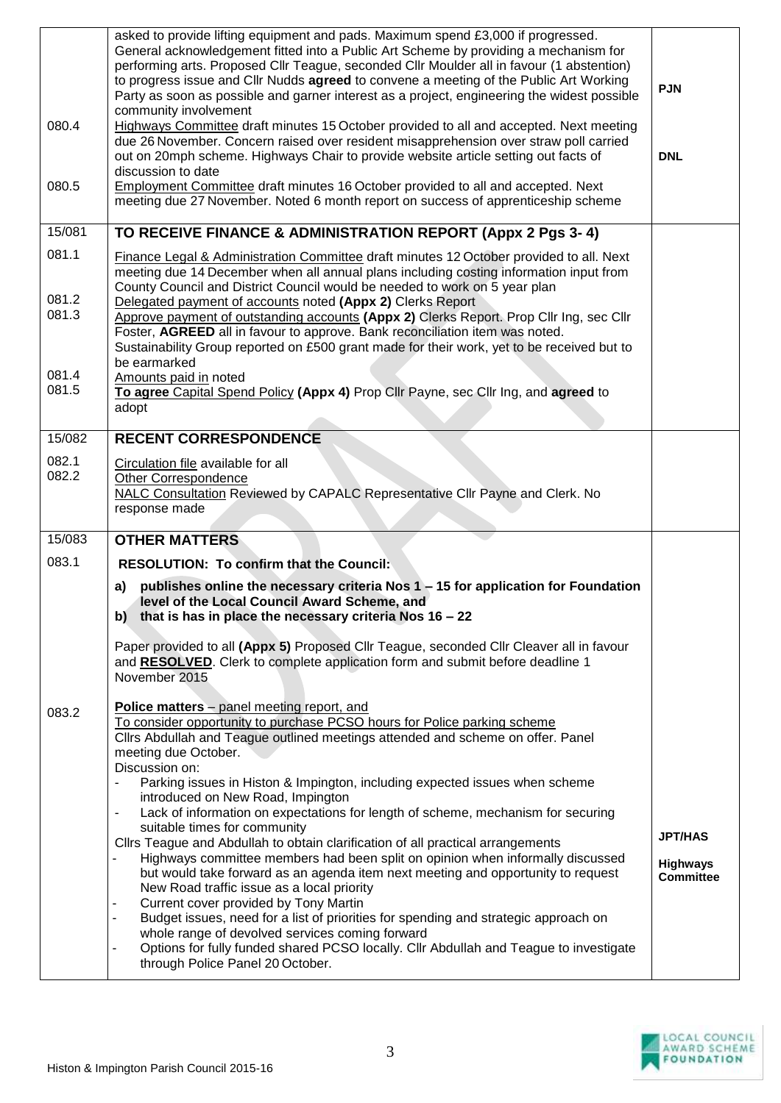| 080.4<br>080.5          | asked to provide lifting equipment and pads. Maximum spend £3,000 if progressed.<br>General acknowledgement fitted into a Public Art Scheme by providing a mechanism for<br>performing arts. Proposed Cllr Teague, seconded Cllr Moulder all in favour (1 abstention)<br>to progress issue and Cllr Nudds agreed to convene a meeting of the Public Art Working<br>Party as soon as possible and garner interest as a project, engineering the widest possible<br>community involvement<br>Highways Committee draft minutes 15 October provided to all and accepted. Next meeting<br>due 26 November. Concern raised over resident misapprehension over straw poll carried<br>out on 20mph scheme. Highways Chair to provide website article setting out facts of<br>discussion to date<br>Employment Committee draft minutes 16 October provided to all and accepted. Next<br>meeting due 27 November. Noted 6 month report on success of apprenticeship scheme                                                                                                                                                                                                      | <b>PJN</b><br><b>DNL</b>                              |
|-------------------------|-----------------------------------------------------------------------------------------------------------------------------------------------------------------------------------------------------------------------------------------------------------------------------------------------------------------------------------------------------------------------------------------------------------------------------------------------------------------------------------------------------------------------------------------------------------------------------------------------------------------------------------------------------------------------------------------------------------------------------------------------------------------------------------------------------------------------------------------------------------------------------------------------------------------------------------------------------------------------------------------------------------------------------------------------------------------------------------------------------------------------------------------------------------------------|-------------------------------------------------------|
| 15/081                  | TO RECEIVE FINANCE & ADMINISTRATION REPORT (Appx 2 Pgs 3-4)                                                                                                                                                                                                                                                                                                                                                                                                                                                                                                                                                                                                                                                                                                                                                                                                                                                                                                                                                                                                                                                                                                           |                                                       |
| 081.1<br>081.2<br>081.3 | Finance Legal & Administration Committee draft minutes 12 October provided to all. Next<br>meeting due 14 December when all annual plans including costing information input from<br>County Council and District Council would be needed to work on 5 year plan<br>Delegated payment of accounts noted (Appx 2) Clerks Report<br>Approve payment of outstanding accounts (Appx 2) Clerks Report. Prop Cllr Ing, sec Cllr                                                                                                                                                                                                                                                                                                                                                                                                                                                                                                                                                                                                                                                                                                                                              |                                                       |
| 081.4<br>081.5          | Foster, AGREED all in favour to approve. Bank reconciliation item was noted.<br>Sustainability Group reported on £500 grant made for their work, yet to be received but to<br>be earmarked<br>Amounts paid in noted<br>To agree Capital Spend Policy (Appx 4) Prop Cllr Payne, sec Cllr Ing, and agreed to<br>adopt                                                                                                                                                                                                                                                                                                                                                                                                                                                                                                                                                                                                                                                                                                                                                                                                                                                   |                                                       |
| 15/082                  | <b>RECENT CORRESPONDENCE</b>                                                                                                                                                                                                                                                                                                                                                                                                                                                                                                                                                                                                                                                                                                                                                                                                                                                                                                                                                                                                                                                                                                                                          |                                                       |
| 082.1<br>082.2          | Circulation file available for all<br>Other Correspondence<br>NALC Consultation Reviewed by CAPALC Representative Cllr Payne and Clerk. No<br>response made                                                                                                                                                                                                                                                                                                                                                                                                                                                                                                                                                                                                                                                                                                                                                                                                                                                                                                                                                                                                           |                                                       |
| 15/083                  | <b>OTHER MATTERS</b>                                                                                                                                                                                                                                                                                                                                                                                                                                                                                                                                                                                                                                                                                                                                                                                                                                                                                                                                                                                                                                                                                                                                                  |                                                       |
| 083.1                   | <b>RESOLUTION: To confirm that the Council:</b>                                                                                                                                                                                                                                                                                                                                                                                                                                                                                                                                                                                                                                                                                                                                                                                                                                                                                                                                                                                                                                                                                                                       |                                                       |
|                         | publishes online the necessary criteria Nos 1 - 15 for application for Foundation<br>a)<br>level of the Local Council Award Scheme, and<br>b) that is has in place the necessary criteria Nos $16 - 22$<br>Paper provided to all (Appx 5) Proposed Cllr Teague, seconded Cllr Cleaver all in favour<br>and RESOLVED. Clerk to complete application form and submit before deadline 1<br>November 2015                                                                                                                                                                                                                                                                                                                                                                                                                                                                                                                                                                                                                                                                                                                                                                 |                                                       |
| 083.2                   | Police matters - panel meeting report, and<br>To consider opportunity to purchase PCSO hours for Police parking scheme<br>Cllrs Abdullah and Teague outlined meetings attended and scheme on offer. Panel<br>meeting due October.<br>Discussion on:<br>Parking issues in Histon & Impington, including expected issues when scheme<br>$\overline{\phantom{a}}$<br>introduced on New Road, Impington<br>Lack of information on expectations for length of scheme, mechanism for securing<br>$\blacksquare$<br>suitable times for community<br>Cllrs Teague and Abdullah to obtain clarification of all practical arrangements<br>Highways committee members had been split on opinion when informally discussed<br>but would take forward as an agenda item next meeting and opportunity to request<br>New Road traffic issue as a local priority<br>Current cover provided by Tony Martin<br>Budget issues, need for a list of priorities for spending and strategic approach on<br>whole range of devolved services coming forward<br>Options for fully funded shared PCSO locally. Cllr Abdullah and Teague to investigate<br>-<br>through Police Panel 20 October. | <b>JPT/HAS</b><br><b>Highways</b><br><b>Committee</b> |
|                         |                                                                                                                                                                                                                                                                                                                                                                                                                                                                                                                                                                                                                                                                                                                                                                                                                                                                                                                                                                                                                                                                                                                                                                       |                                                       |